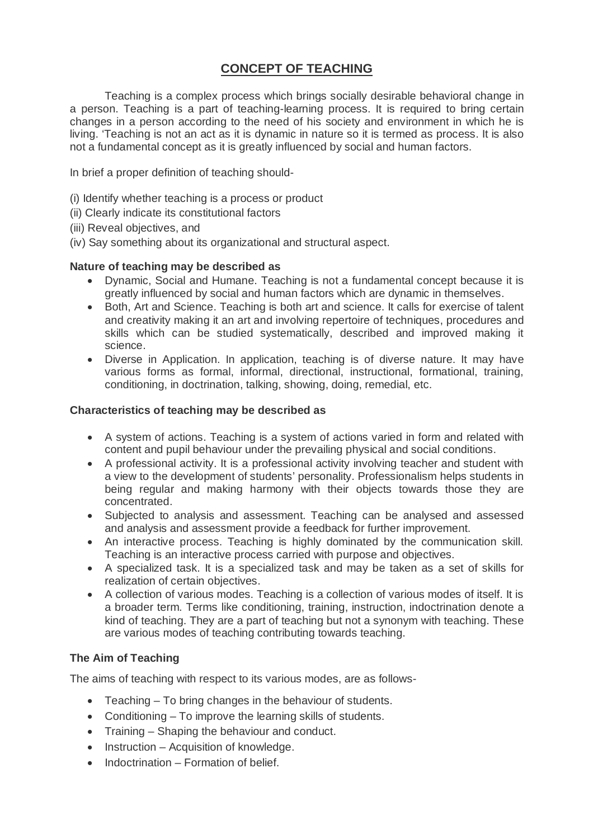# **CONCEPT OF TEACHING**

Teaching is a complex process which brings socially desirable behavioral change in a person. Teaching is a part of teaching-learning process. It is required to bring certain changes in a person according to the need of his society and environment in which he is living. 'Teaching is not an act as it is dynamic in nature so it is termed as process. It is also not a fundamental concept as it is greatly influenced by social and human factors.

In brief a proper definition of teaching should-

- (i) Identify whether teaching is a process or product
- (ii) Clearly indicate its constitutional factors
- (iii) Reveal objectives, and
- (iv) Say something about its organizational and structural aspect.

### **Nature of teaching may be described as**

- Dynamic, Social and Humane. Teaching is not a fundamental concept because it is greatly influenced by social and human factors which are dynamic in themselves.
- Both, Art and Science. Teaching is both art and science. It calls for exercise of talent and creativity making it an art and involving repertoire of techniques, procedures and skills which can be studied systematically, described and improved making it science.
- Diverse in Application. In application, teaching is of diverse nature. It may have various forms as formal, informal, directional, instructional, formational, training, conditioning, in doctrination, talking, showing, doing, remedial, etc.

### **Characteristics of teaching may be described as**

- A system of actions. Teaching is a system of actions varied in form and related with content and pupil behaviour under the prevailing physical and social conditions.
- A professional activity. It is a professional activity involving teacher and student with a view to the development of students' personality. Professionalism helps students in being regular and making harmony with their objects towards those they are concentrated.
- Subjected to analysis and assessment. Teaching can be analysed and assessed and analysis and assessment provide a feedback for further improvement.
- An interactive process. Teaching is highly dominated by the communication skill. Teaching is an interactive process carried with purpose and objectives.
- A specialized task. It is a specialized task and may be taken as a set of skills for realization of certain objectives.
- A collection of various modes. Teaching is a collection of various modes of itself. It is a broader term. Terms like conditioning, training, instruction, indoctrination denote a kind of teaching. They are a part of teaching but not a synonym with teaching. These are various modes of teaching contributing towards teaching.

## **The Aim of Teaching**

The aims of teaching with respect to its various modes, are as follows-

- Teaching To bring changes in the behaviour of students.
- Conditioning To improve the learning skills of students.
- Training Shaping the behaviour and conduct.
- Instruction Acquisition of knowledge.
- $\bullet$  Indoctrination Formation of belief.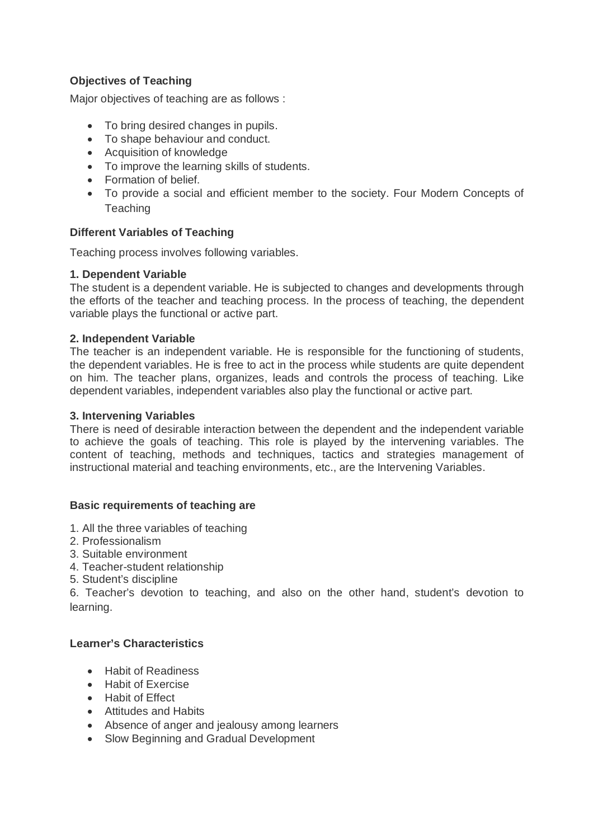## **Objectives of Teaching**

Major objectives of teaching are as follows :

- To bring desired changes in pupils.
- To shape behaviour and conduct.
- Acquisition of knowledge
- To improve the learning skills of students.
- Formation of belief.
- To provide a social and efficient member to the society. Four Modern Concepts of **Teaching**

## **Different Variables of Teaching**

Teaching process involves following variables.

### **1. Dependent Variable**

The student is a dependent variable. He is subjected to changes and developments through the efforts of the teacher and teaching process. In the process of teaching, the dependent variable plays the functional or active part.

### **2. Independent Variable**

The teacher is an independent variable. He is responsible for the functioning of students, the dependent variables. He is free to act in the process while students are quite dependent on him. The teacher plans, organizes, leads and controls the process of teaching. Like dependent variables, independent variables also play the functional or active part.

### **3. Intervening Variables**

There is need of desirable interaction between the dependent and the independent variable to achieve the goals of teaching. This role is played by the intervening variables. The content of teaching, methods and techniques, tactics and strategies management of instructional material and teaching environments, etc., are the Intervening Variables.

## **Basic requirements of teaching are**

- 1. All the three variables of teaching
- 2. Professionalism
- 3. Suitable environment
- 4. Teacher-student relationship
- 5. Student's discipline

6. Teacher's devotion to teaching, and also on the other hand, student's devotion to learning.

## **Learner's Characteristics**

- Habit of Readiness
- **•** Habit of Exercise
- **•** Habit of Fffect
- Attitudes and Habits
- Absence of anger and jealousy among learners
- Slow Beginning and Gradual Development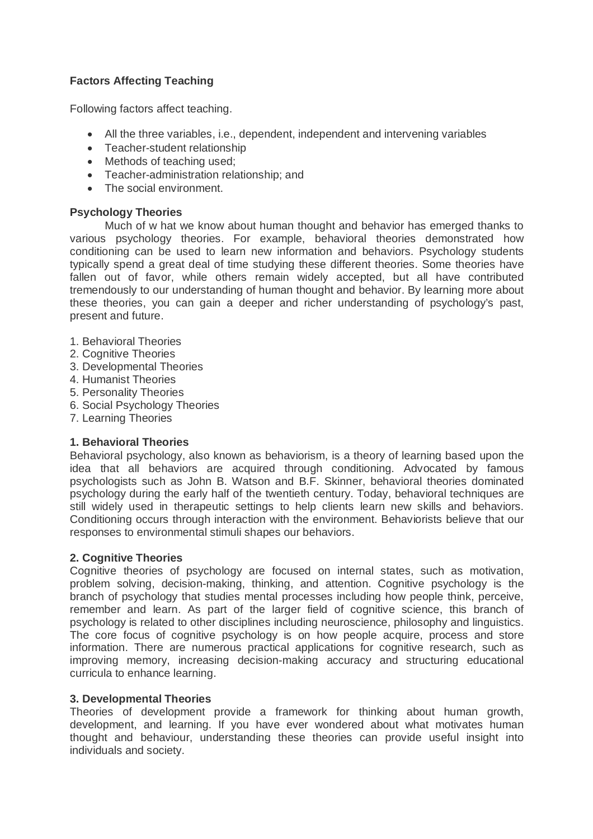## **Factors Affecting Teaching**

Following factors affect teaching.

- All the three variables, i.e., dependent, independent and intervening variables
- Teacher-student relationship
- Methods of teaching used;
- Teacher-administration relationship; and
- The social environment.

## **Psychology Theories**

Much of w hat we know about human thought and behavior has emerged thanks to various psychology theories. For example, behavioral theories demonstrated how conditioning can be used to learn new information and behaviors. Psychology students typically spend a great deal of time studying these different theories. Some theories have fallen out of favor, while others remain widely accepted, but all have contributed tremendously to our understanding of human thought and behavior. By learning more about these theories, you can gain a deeper and richer understanding of psychology's past, present and future.

- 1. Behavioral Theories
- 2. Cognitive Theories
- 3. Developmental Theories
- 4. Humanist Theories
- 5. Personality Theories
- 6. Social Psychology Theories
- 7. Learning Theories

## **1. Behavioral Theories**

Behavioral psychology, also known as behaviorism, is a theory of learning based upon the idea that all behaviors are acquired through conditioning. Advocated by famous psychologists such as John B. Watson and B.F. Skinner, behavioral theories dominated psychology during the early half of the twentieth century. Today, behavioral techniques are still widely used in therapeutic settings to help clients learn new skills and behaviors. Conditioning occurs through interaction with the environment. Behaviorists believe that our responses to environmental stimuli shapes our behaviors.

## **2. Cognitive Theories**

Cognitive theories of psychology are focused on internal states, such as motivation, problem solving, decision-making, thinking, and attention. Cognitive psychology is the branch of psychology that studies mental processes including how people think, perceive, remember and learn. As part of the larger field of cognitive science, this branch of psychology is related to other disciplines including neuroscience, philosophy and linguistics. The core focus of cognitive psychology is on how people acquire, process and store information. There are numerous practical applications for cognitive research, such as improving memory, increasing decision-making accuracy and structuring educational curricula to enhance learning.

#### **3. Developmental Theories**

Theories of development provide a framework for thinking about human growth, development, and learning. If you have ever wondered about what motivates human thought and behaviour, understanding these theories can provide useful insight into individuals and society.